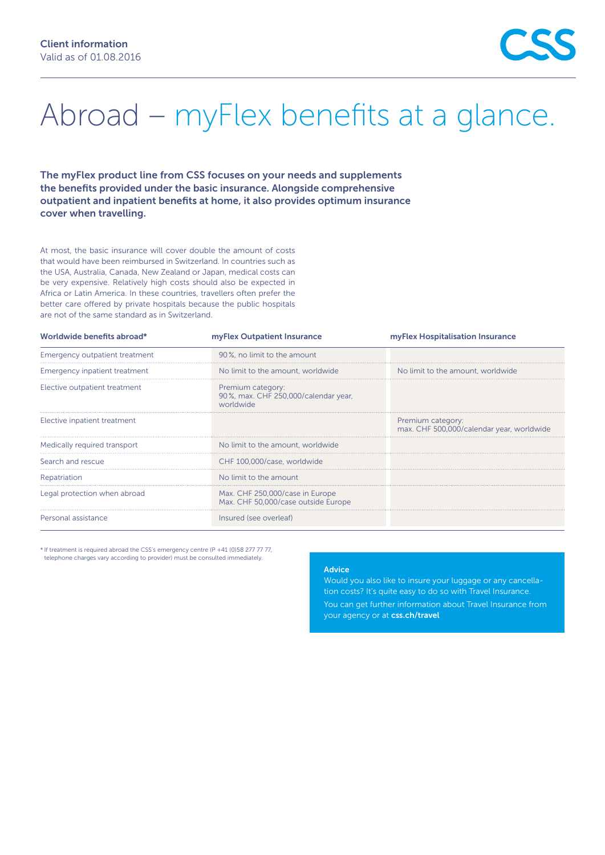## Abroad – myFlex benefits at a glance.

The myFlex product line from CSS focuses on your needs and supplements the benefits provided under the basic insurance. Alongside comprehensive outpatient and inpatient benefits at home, it also provides optimum insurance cover when travelling.

At most, the basic insurance will cover double the amount of costs that would have been reimbursed in Switzerland. In countries such as the USA, Australia, Canada, New Zealand or Japan, medical costs can be very expensive. Relatively high costs should also be expected in Africa or Latin America. In these countries, travellers often prefer the better care offered by private hospitals because the public hospitals are not of the same standard as in Switzerland.

| myFlex Outpatient Insurance                                            | myFlex Hospitalisation Insurance                               |
|------------------------------------------------------------------------|----------------------------------------------------------------|
| 90%, no limit to the amount                                            |                                                                |
| No limit to the amount, worldwide                                      | No limit to the amount, worldwide                              |
| Premium category:<br>90%, max. CHF 250,000/calendar year,<br>worldwide |                                                                |
|                                                                        | Premium category:<br>max. CHF 500,000/calendar year, worldwide |
| No limit to the amount, worldwide                                      |                                                                |
| CHF 100.000/case, worldwide                                            |                                                                |
| No limit to the amount                                                 |                                                                |
| Max. CHF 250,000/case in Europe<br>Max. CHF 50,000/case outside Europe |                                                                |
| Insured (see overleaf)                                                 |                                                                |
|                                                                        |                                                                |

\* If treatment is required abroad the CSS's emergency centre (P +41 (0)58 277 77 77, telephone charges vary according to provider) must be consulted immediately.

## Advice

Would you also like to insure your luggage or any cancellation costs? It's quite easy to do so with Travel Insurance.

You can get further information about Travel Insurance from your agency or at [css.ch/travel](http://css.ch/travel)